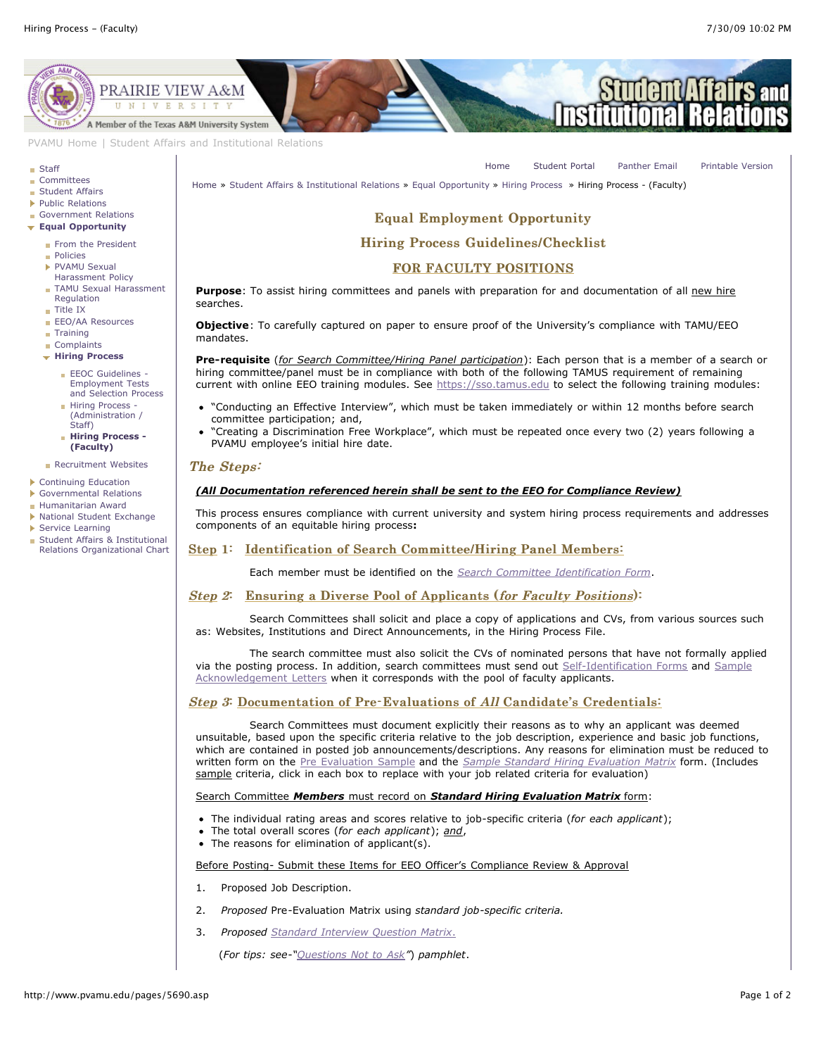[Home](http://www.pvamu.edu/pages/1.asp) [Student Portal](http://panthertracks.pvamu.edu/) [Panther Email](http://www.pvamu.edu/pages/1740.asp) [Printable Version](http://www.pvamu.edu/print/5690.asp)



[PVAMU Home](http://www.pvamu.edu/pages/1.asp) | [Student Affairs and Institutional Relations](http://www.pvamu.edu/pages/114.asp)

#### **[Staff](http://www.pvamu.edu/pages/923.asp)**

- **[Committees](http://www.pvamu.edu/pages/925.asp)**
- **[Student Affairs](http://www.pvamu.edu/pages/1441.asp)**
- ▶ [Public Relations](http://www.pvamu.edu/pages/926.asp)
- [Government Relations](http://www.pvamu.edu/pages/927.asp)
- **[Equal Opportunity](http://www.pvamu.edu/pages/929.asp)**
	- [From the President](http://www.pvamu.edu/pages/1125.asp)
	- [Policies](http://www.pvamu.edu/pages/945.asp)
	- PVAMU Sexual [Harassment Policy](http://www.pvamu.edu/pages/948.asp)
	- **[TAMU Sexual Harassment](http://www.pvamu.edu/pages/1121.asp)** Regulation
	- [Title IX](http://www.pvamu.edu/pages/947.asp)
	- [EEO/AA Resources](http://www.pvamu.edu/pages/1122.asp)
	- **[Training](http://www.pvamu.edu/pages/1123.asp)**
	- [Complaints](http://www.pvamu.edu/pages/1124.asp) **[Hiring Process](http://www.pvamu.edu/pages/1488.asp)**
	- **EEOC Guidelines -**
		- Employment Tests [and Selection Process](http://www.pvamu.edu/pages/5709.asp)
		- **Hiring Process** [\(Administration /](http://www.pvamu.edu/pages/5691.asp) Staff)
		- **[Hiring Process -](http://www.pvamu.edu/pages/5690.asp) (Faculty)**

#### **[Recruitment Websites](http://www.pvamu.edu/pages/1487.asp)**

- [Continuing Education](http://www.pvamu.edu/pages/2034.asp)
- [Governmental Relations](http://www.pvamu.edu/pages/5318.asp)
- [Humanitarian Award](http://www.pvamu.edu/pages/3916.asp)
- [National Student Exchange](http://www.pvamu.edu/pages/3196.asp)
- ¥ [Service Learning](http://www.pvamu.edu/pages/4212.asp)
- Student Affairs & Institutional [Relations Organizational Chart](http://www.pvamu.edu/pages/3820.asp)

#### [Home](http://www.pvamu.edu/pages/1.asp) » [Student Affairs & Institutional Relations](http://www.pvamu.edu/pages/114.asp) » [Equal Opportunity](http://www.pvamu.edu/pages/929.asp) » [Hiring Process](http://www.pvamu.edu/pages/1488.asp) » Hiring Process - (Faculty)

# Equal Employment Opportunity Equal Employment Opportunity

# Hiring Process Guidelines/Checklist

## FOR FACULTY POSITIONS

Purpose: To assist hiring committees and panels with preparation for and documentation of all new hire searches.

**Objective**: To carefully captured on paper to ensure proof of the University's compliance with TAMU/EEO mandates.

**Pre-requisite** (*for Search Committee/Hiring Panel participation*): Each person that is a member of a search or hiring committee/panel must be in compliance with both of the following TAMUS requirement of remaining current with online EEO training modules. See [https://sso.tamus.edu](https://sso.tamus.edu/) to select the following training modules:

- "Conducting an Effective Interview", which must be taken immediately or within 12 months before search committee participation; and,
- "Creating a Discrimination Free Workplace", which must be repeated once every two (2) years following a PVAMU employee's initial hire date.

#### The Steps:

#### *(All Documentation referenced herein shall be sent to the EEO for Compliance Review)*

This process ensures compliance with current university and system hiring process requirements and addresses components of an equitable hiring process**:**

## Step 1: Identification of Search Committee/Hiring Panel Members:

Each member must be identified on the *[Search Committee Identification Form](http://www.pvamu.edu/Include/EEo/Hiring_process/Search%20Committee%20Identification%20Form.06222009.rj.doc)*.

## Step 2: Ensuring a Diverse Pool of Applicants (for Faculty Positions):

 Search Committees shall solicit and place a copy of applications and CVs, from various sources such as: Websites, Institutions and Direct Announcements, in the Hiring Process File.

 The search committee must also solicit the CVs of nominated persons that have not formally applied [via the posting process. In addition, search committees must send out](http://www.pvamu.edu/Include/EEo/Hiring_process/AcklletFaculty609.doc) [Self-Identification Forms](http://www.pvamu.edu/Include/EEo/Hiring_process/EEOSelfIdentFrm309.doc) [and Sample](http://www.pvamu.edu/Include/EEo/Hiring_process/AcklletFaculty609.doc) Acknowledgement Letters when it corresponds with the pool of faculty applicants.

### Step 3: Documentation of Pre-Evaluations of All Candidate's Credentials:

 Search Committees must document explicitly their reasons as to why an applicant was deemed unsuitable, based upon the specific criteria relative to the job description, experience and basic job functions, which are contained in posted job announcements/descriptions. Any reasons for elimination must be reduced to written form on the [Pre Evaluation Sample](http://www.pvamu.edu/Include/EEo/Hiring_process/SamplePreEvalFrmFac609.doc) and the *[Sample Standard Hiring Evaluation Matrix](http://www.pvamu.edu/Include/EEo/Hiring_process/FINAL-Interview%20Evaluation%20Matrix.xls)* form. (Includes sample criteria, click in each box to replace with your job related criteria for evaluation)

## Search Committee *Members* must record on *Standard Hiring Evaluation Matrix* form:

- The individual rating areas and scores relative to job-specific criteria (*for each applicant*);
- The total overall scores (*for each applicant*); *and*,
- The reasons for elimination of applicant(s).

## Before Posting- Submit these Items for EEO Officer's Compliance Review & Approval

- 1. Proposed Job Description.
- 2. *Proposed* Pre-Evaluation Matrix using *standard job-specific criteria.*
- 3. *Proposed [Standard Interview Question Matrix](http://www.pvamu.edu/Include/EEo/Hiring_process/Standard%20Interview%20Questions%20Matrix-approved%20reuse%20by%20PV-TAMU%2005212009%20rj.doc)*.

(*For tips: see*-*["Questions Not to Ask](http://www.pvamu.edu/Include/EEo/Hiring_process/QuesNottoAsk309.doc)"*) *pamphlet*.